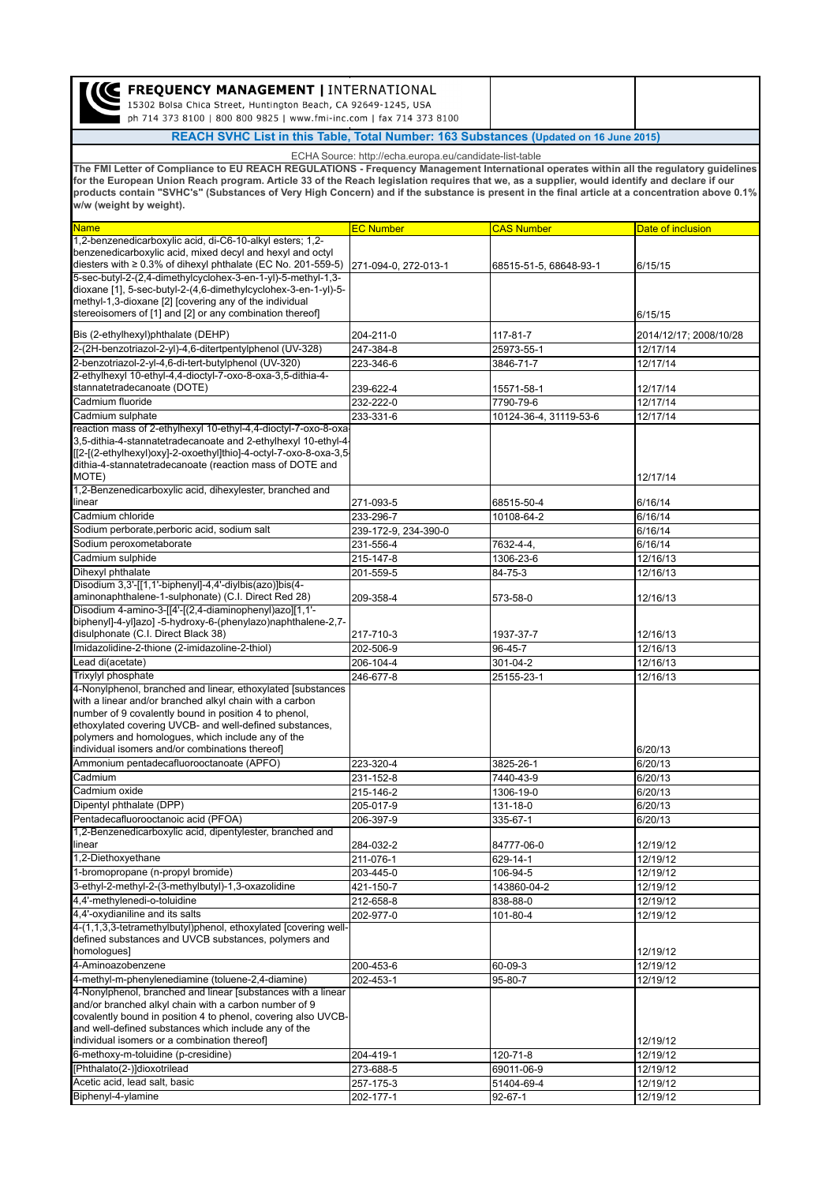| <b>C FREQUENCY MANAGEMENT   INTERNATIONAL</b><br>15302 Bolsa Chica Street, Huntington Beach, CA 92649-1245, USA<br>ph 714 373 8100   800 800 9825   www.fmi-inc.com   fax 714 373 8100                                                                                                                                                                                                                                                                               |                      |                        |                        |  |  |
|----------------------------------------------------------------------------------------------------------------------------------------------------------------------------------------------------------------------------------------------------------------------------------------------------------------------------------------------------------------------------------------------------------------------------------------------------------------------|----------------------|------------------------|------------------------|--|--|
| REACH SVHC List in this Table, Total Number: 163 Substances (Updated on 16 June 2015)                                                                                                                                                                                                                                                                                                                                                                                |                      |                        |                        |  |  |
| ECHA Source: http://echa.europa.eu/candidate-list-table                                                                                                                                                                                                                                                                                                                                                                                                              |                      |                        |                        |  |  |
| The FMI Letter of Compliance to EU REACH REGULATIONS - Frequency Management International operates within all the regulatory guidelines<br>for the European Union Reach program. Article 33 of the Reach legislation requires that we, as a supplier, would identify and declare if our<br>products contain "SVHC's" (Substances of Very High Concern) and if the substance is present in the final article at a concentration above 0.1%<br>w/w (weight by weight). |                      |                        |                        |  |  |
| <b>Name</b>                                                                                                                                                                                                                                                                                                                                                                                                                                                          | <b>EC Number</b>     | <b>CAS Number</b>      | Date of inclusion      |  |  |
| 1,2-benzenedicarboxylic acid, di-C6-10-alkyl esters; 1,2-<br>benzenedicarboxylic acid, mixed decyl and hexyl and octyl<br>diesters with $\geq 0.3\%$ of dihexyl phthalate (EC No. 201-559-5)                                                                                                                                                                                                                                                                         | 271-094-0, 272-013-1 | 68515-51-5, 68648-93-1 | 6/15/15                |  |  |
| 5-sec-butyl-2-(2,4-dimethylcyclohex-3-en-1-yl)-5-methyl-1,3-<br>dioxane [1], 5-sec-butyl-2-(4,6-dimethylcyclohex-3-en-1-yl)-5-<br>methyl-1,3-dioxane [2] [covering any of the individual<br>stereoisomers of [1] and [2] or any combination thereof]                                                                                                                                                                                                                 |                      |                        | 6/15/15                |  |  |
| Bis (2-ethylhexyl)phthalate (DEHP)                                                                                                                                                                                                                                                                                                                                                                                                                                   | 204-211-0            | 117-81-7               | 2014/12/17; 2008/10/28 |  |  |
| 2-(2H-benzotriazol-2-yl)-4,6-ditertpentylphenol (UV-328)                                                                                                                                                                                                                                                                                                                                                                                                             | 247-384-8            | 25973-55-1             | 12/17/14               |  |  |
| 2-benzotriazol-2-yl-4,6-di-tert-butylphenol (UV-320)                                                                                                                                                                                                                                                                                                                                                                                                                 | 223-346-6            | 3846-71-7              | 12/17/14               |  |  |
| 2-ethylhexyl 10-ethyl-4,4-dioctyl-7-oxo-8-oxa-3,5-dithia-4-<br>stannatetradecanoate (DOTE)                                                                                                                                                                                                                                                                                                                                                                           | 239-622-4            | 15571-58-1             | 12/17/14               |  |  |
| Cadmium fluoride                                                                                                                                                                                                                                                                                                                                                                                                                                                     | 232-222-0            | 7790-79-6              | 12/17/14               |  |  |
| Cadmium sulphate                                                                                                                                                                                                                                                                                                                                                                                                                                                     | 233-331-6            | 10124-36-4, 31119-53-6 | 12/17/14               |  |  |
| reaction mass of 2-ethylhexyl 10-ethyl-4,4-dioctyl-7-oxo-8-oxa<br>3,5-dithia-4-stannatetradecanoate and 2-ethylhexyl 10-ethyl-4<br>[[2-[(2-ethylhexyl)oxy]-2-oxoethyl]thio]-4-octyl-7-oxo-8-oxa-3,5<br>dithia-4-stannatetradecanoate (reaction mass of DOTE and<br>MOTE)                                                                                                                                                                                             |                      |                        | 12/17/14               |  |  |
| 1,2-Benzenedicarboxylic acid, dihexylester, branched and<br>linear                                                                                                                                                                                                                                                                                                                                                                                                   | 271-093-5            | 68515-50-4             | 6/16/14                |  |  |
| Cadmium chloride                                                                                                                                                                                                                                                                                                                                                                                                                                                     | 233-296-7            | 10108-64-2             | 6/16/14                |  |  |
| Sodium perborate, perboric acid, sodium salt                                                                                                                                                                                                                                                                                                                                                                                                                         | 239-172-9, 234-390-0 |                        | 6/16/14                |  |  |
| Sodium peroxometaborate                                                                                                                                                                                                                                                                                                                                                                                                                                              | 231-556-4            | 7632-4-4,              | 6/16/14                |  |  |
| Cadmium sulphide                                                                                                                                                                                                                                                                                                                                                                                                                                                     | 215-147-8            | 1306-23-6              | 12/16/13               |  |  |
| Dihexyl phthalate<br>Disodium 3,3'-[[1,1'-biphenyl]-4,4'-diylbis(azo)]bis(4-                                                                                                                                                                                                                                                                                                                                                                                         | 201-559-5            | 84-75-3                | 12/16/13               |  |  |
| aminonaphthalene-1-sulphonate) (C.I. Direct Red 28)                                                                                                                                                                                                                                                                                                                                                                                                                  | 209-358-4            | 573-58-0               | 12/16/13               |  |  |
| Disodium 4-amino-3-[[4'-[(2,4-diaminophenyl)azo][1,1'-<br>biphenyl]-4-yl]azo] -5-hydroxy-6-(phenylazo)naphthalene-2,7-<br>disulphonate (C.I. Direct Black 38)                                                                                                                                                                                                                                                                                                        | 217-710-3            | 1937-37-7              | 12/16/13               |  |  |
| Imidazolidine-2-thione (2-imidazoline-2-thiol)                                                                                                                                                                                                                                                                                                                                                                                                                       | 202-506-9            | 96-45-7                | 12/16/13               |  |  |
| Lead di(acetate)                                                                                                                                                                                                                                                                                                                                                                                                                                                     | 206-104-4            | 301-04-2               | 12/16/13               |  |  |
| Trixylyl phosphate                                                                                                                                                                                                                                                                                                                                                                                                                                                   | 246-677-8            | 25155-23-1             | 12/16/13               |  |  |
| 4-Nonylphenol, branched and linear, ethoxylated [substances<br>with a linear and/or branched alkyl chain with a carbon<br>number of 9 covalently bound in position 4 to phenol,<br>ethoxylated covering UVCB- and well-defined substances,<br>polymers and homologues, which include any of the                                                                                                                                                                      |                      |                        |                        |  |  |
| individual isomers and/or combinations thereof<br>Ammonium pentadecafluorooctanoate (APFO)                                                                                                                                                                                                                                                                                                                                                                           | 223-320-4            |                        | 6/20/13<br>6/20/13     |  |  |
| Cadmium                                                                                                                                                                                                                                                                                                                                                                                                                                                              | 231-152-8            | 3825-26-1<br>7440-43-9 | 6/20/13                |  |  |
| Cadmium oxide                                                                                                                                                                                                                                                                                                                                                                                                                                                        | 215-146-2            | 1306-19-0              | 6/20/13                |  |  |
| Dipentyl phthalate (DPP)                                                                                                                                                                                                                                                                                                                                                                                                                                             | 205-017-9            | 131-18-0               | 6/20/13                |  |  |
| Pentadecafluorooctanoic acid (PFOA)                                                                                                                                                                                                                                                                                                                                                                                                                                  | 206-397-9            | 335-67-1               | 6/20/13                |  |  |
| 1,2-Benzenedicarboxylic acid, dipentylester, branched and<br>linear                                                                                                                                                                                                                                                                                                                                                                                                  | 284-032-2            | 84777-06-0             | 12/19/12               |  |  |
| 1,2-Diethoxyethane                                                                                                                                                                                                                                                                                                                                                                                                                                                   | 211-076-1            | 629-14-1               | 12/19/12               |  |  |
| 1-bromopropane (n-propyl bromide)                                                                                                                                                                                                                                                                                                                                                                                                                                    | 203-445-0            | 106-94-5               | 12/19/12               |  |  |
| 3-ethyl-2-methyl-2-(3-methylbutyl)-1,3-oxazolidine                                                                                                                                                                                                                                                                                                                                                                                                                   | 421-150-7            | 143860-04-2            | 12/19/12               |  |  |
| 4,4'-methylenedi-o-toluidine<br>4,4'-oxydianiline and its salts                                                                                                                                                                                                                                                                                                                                                                                                      | 212-658-8            | 838-88-0               | 12/19/12               |  |  |
| 4-(1,1,3,3-tetramethylbutyl)phenol, ethoxylated [covering well-                                                                                                                                                                                                                                                                                                                                                                                                      | 202-977-0            | 101-80-4               | 12/19/12               |  |  |
| defined substances and UVCB substances, polymers and<br>homologues]                                                                                                                                                                                                                                                                                                                                                                                                  |                      |                        | 12/19/12               |  |  |
| 4-Aminoazobenzene                                                                                                                                                                                                                                                                                                                                                                                                                                                    | 200-453-6            | 60-09-3                | 12/19/12               |  |  |
| 4-methyl-m-phenylenediamine (toluene-2,4-diamine)                                                                                                                                                                                                                                                                                                                                                                                                                    | 202-453-1            | 95-80-7                | 12/19/12               |  |  |
| 4-Nonylphenol, branched and linear [substances with a linear<br>and/or branched alkyl chain with a carbon number of 9<br>covalently bound in position 4 to phenol, covering also UVCB-<br>and well-defined substances which include any of the<br>individual isomers or a combination thereof]                                                                                                                                                                       |                      |                        | 12/19/12               |  |  |
| 6-methoxy-m-toluidine (p-cresidine)                                                                                                                                                                                                                                                                                                                                                                                                                                  | 204-419-1            | 120-71-8               | 12/19/12               |  |  |
| [Phthalato(2-)]dioxotrilead                                                                                                                                                                                                                                                                                                                                                                                                                                          | 273-688-5            | 69011-06-9             | 12/19/12               |  |  |
| Acetic acid, lead salt, basic                                                                                                                                                                                                                                                                                                                                                                                                                                        | 257-175-3            | 51404-69-4             | 12/19/12               |  |  |
| Biphenyl-4-ylamine                                                                                                                                                                                                                                                                                                                                                                                                                                                   | 202-177-1            | $92 - 67 - 1$          | 12/19/12               |  |  |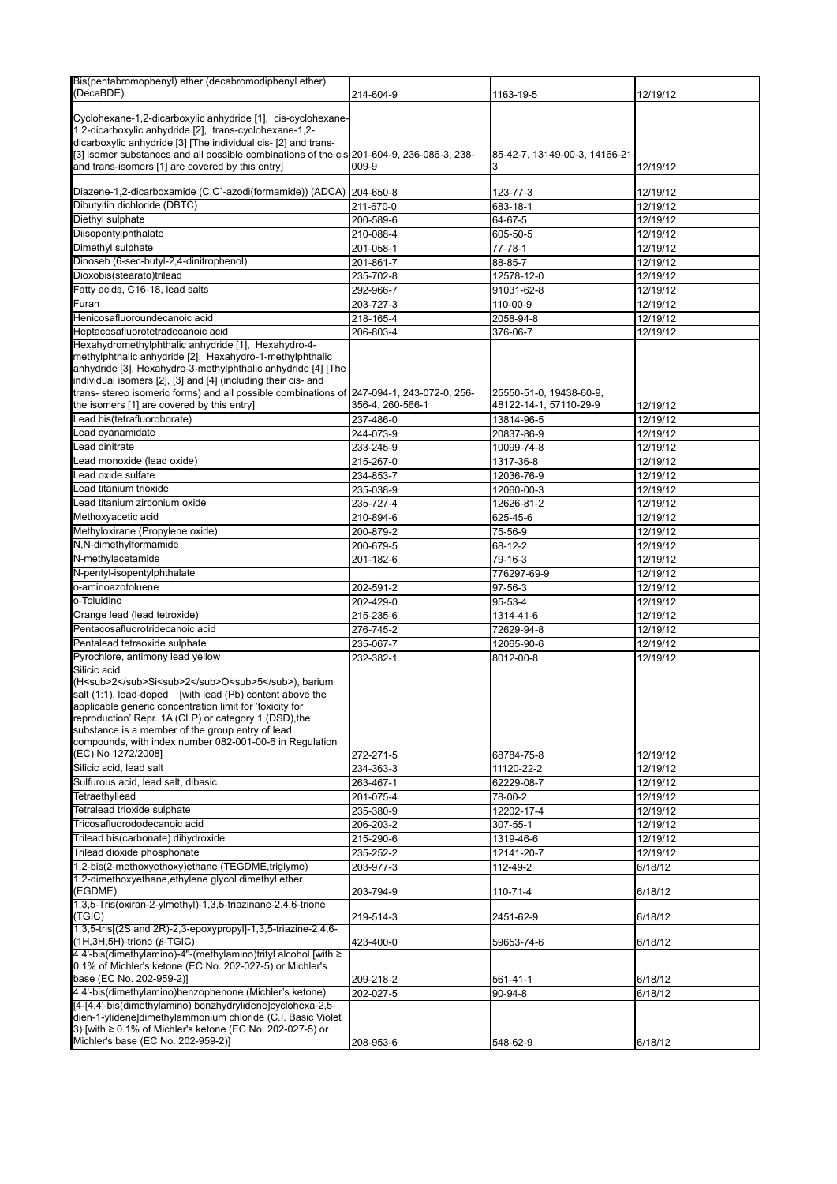| Bis(pentabromophenyl) ether (decabromodiphenyl ether)                                     |                  |                                |          |
|-------------------------------------------------------------------------------------------|------------------|--------------------------------|----------|
| (DecaBDE)                                                                                 | 214-604-9        | 1163-19-5                      | 12/19/12 |
|                                                                                           |                  |                                |          |
| Cyclohexane-1,2-dicarboxylic anhydride [1], cis-cyclohexane-                              |                  |                                |          |
| 1,2-dicarboxylic anhydride [2], trans-cyclohexane-1,2-                                    |                  |                                |          |
| dicarboxylic anhydride [3] [The individual cis- [2] and trans-                            |                  |                                |          |
| [3] isomer substances and all possible combinations of the cis 201-604-9, 236-086-3, 238- |                  | 85-42-7, 13149-00-3, 14166-21- |          |
| and trans-isomers [1] are covered by this entry]                                          | 009-9            |                                | 12/19/12 |
|                                                                                           |                  |                                |          |
| Diazene-1,2-dicarboxamide (C,C`-azodi(formamide)) (ADCA) 204-650-8                        |                  | 123-77-3                       | 12/19/12 |
| Dibutyltin dichloride (DBTC)                                                              | 211-670-0        | 683-18-1                       | 12/19/12 |
| Diethyl sulphate                                                                          | 200-589-6        | 64-67-5                        | 12/19/12 |
| Diisopentylphthalate                                                                      | 210-088-4        | 605-50-5                       | 12/19/12 |
| Dimethyl sulphate                                                                         | 201-058-1        | $77 - 78 - 1$                  | 12/19/12 |
| Dinoseb (6-sec-butyl-2,4-dinitrophenol)                                                   | 201-861-7        | 88-85-7                        | 12/19/12 |
|                                                                                           |                  |                                |          |
| Dioxobis(stearato)trilead                                                                 | 235-702-8        | 12578-12-0                     | 12/19/12 |
| Fatty acids, C16-18, lead salts                                                           | 292-966-7        | 91031-62-8                     | 12/19/12 |
| Furan                                                                                     | 203-727-3        | 110-00-9                       | 12/19/12 |
| Henicosafluoroundecanoic acid                                                             | 218-165-4        | 2058-94-8                      | 12/19/12 |
| Heptacosafluorotetradecanoic acid                                                         | 206-803-4        | 376-06-7                       | 12/19/12 |
| Hexahydromethylphthalic anhydride [1], Hexahydro-4-                                       |                  |                                |          |
| methylphthalic anhydride [2], Hexahydro-1-methylphthalic                                  |                  |                                |          |
| anhydride [3], Hexahydro-3-methylphthalic anhydride [4] [The                              |                  |                                |          |
| individual isomers [2], [3] and [4] (including their cis- and                             |                  |                                |          |
| trans- stereo isomeric forms) and all possible combinations of 247-094-1, 243-072-0, 256- |                  | 25550-51-0, 19438-60-9,        |          |
| the isomers [1] are covered by this entry]                                                | 356-4, 260-566-1 | 48122-14-1, 57110-29-9         | 12/19/12 |
| Lead bis(tetrafluoroborate)                                                               | 237-486-0        | 13814-96-5                     | 12/19/12 |
|                                                                                           |                  |                                |          |
| Lead cyanamidate                                                                          | 244-073-9        | 20837-86-9                     | 12/19/12 |
| Lead dinitrate                                                                            | 233-245-9        | 10099-74-8                     | 12/19/12 |
| Lead monoxide (lead oxide)                                                                | 215-267-0        | 1317-36-8                      | 12/19/12 |
| Lead oxide sulfate                                                                        | 234-853-7        | 12036-76-9                     | 12/19/12 |
| Lead titanium trioxide                                                                    | 235-038-9        | 12060-00-3                     | 12/19/12 |
| Lead titanium zirconium oxide                                                             | 235-727-4        | 12626-81-2                     | 12/19/12 |
|                                                                                           |                  |                                |          |
| Methoxyacetic acid                                                                        | 210-894-6        | 625-45-6                       | 12/19/12 |
| Methyloxirane (Propylene oxide)                                                           | 200-879-2        | 75-56-9                        | 12/19/12 |
| N,N-dimethylformamide                                                                     | 200-679-5        | 68-12-2                        | 12/19/12 |
| N-methylacetamide                                                                         | 201-182-6        | 79-16-3                        | 12/19/12 |
| N-pentyl-isopentylphthalate                                                               |                  | 776297-69-9                    | 12/19/12 |
| o-aminoazotoluene                                                                         | 202-591-2        | 97-56-3                        | 12/19/12 |
|                                                                                           |                  |                                |          |
| o-Toluidine                                                                               | 202-429-0        | 95-53-4                        | 12/19/12 |
| Orange lead (lead tetroxide)                                                              | 215-235-6        | 1314-41-6                      | 12/19/12 |
| Pentacosafluorotridecanoic acid                                                           | 276-745-2        | 72629-94-8                     | 12/19/12 |
| Pentalead tetraoxide sulphate                                                             | 235-067-7        | 12065-90-6                     | 12/19/12 |
| Pyrochlore, antimony lead yellow                                                          | 232-382-1        | 8012-00-8                      | 12/19/12 |
| Silicic acid                                                                              |                  |                                |          |
| (H <sub>2</sub> Si <sub>2</sub> O <sub>5</sub> ), barium                                  |                  |                                |          |
| salt (1:1), lead-doped [with lead (Pb) content above the                                  |                  |                                |          |
| applicable generic concentration limit for 'toxicity for                                  |                  |                                |          |
| reproduction' Repr. 1A (CLP) or category 1 (DSD), the                                     |                  |                                |          |
| substance is a member of the group entry of lead                                          |                  |                                |          |
| compounds, with index number 082-001-00-6 in Regulation                                   |                  |                                |          |
| (EC) No 1272/2008]                                                                        | 272-271-5        | 68784-75-8                     | 12/19/12 |
| Silicic acid, lead salt                                                                   |                  |                                |          |
|                                                                                           | 234-363-3        | 11120-22-2                     | 12/19/12 |
| Sulfurous acid, lead salt, dibasic                                                        | 263-467-1        | 62229-08-7                     | 12/19/12 |
| Tetraethyllead                                                                            | 201-075-4        | 78-00-2                        | 12/19/12 |
| Tetralead trioxide sulphate                                                               | 235-380-9        | 12202-17-4                     | 12/19/12 |
| Tricosafluorododecanoic acid                                                              | 206-203-2        | 307-55-1                       | 12/19/12 |
| Trilead bis(carbonate) dihydroxide                                                        | 215-290-6        | 1319-46-6                      | 12/19/12 |
| Trilead dioxide phosphonate                                                               | 235-252-2        | 12141-20-7                     | 12/19/12 |
| 1,2-bis(2-methoxyethoxy)ethane (TEGDME,triglyme)                                          |                  |                                |          |
|                                                                                           | 203-977-3        | 112-49-2                       | 6/18/12  |
| 1,2-dimethoxyethane, ethylene glycol dimethyl ether                                       |                  |                                |          |
| (EGDME)                                                                                   | 203-794-9        | $110 - 71 - 4$                 | 6/18/12  |
| 1,3,5-Tris(oxiran-2-ylmethyl)-1,3,5-triazinane-2,4,6-trione                               |                  |                                |          |
| (TGIC)                                                                                    | 219-514-3        | 2451-62-9                      | 6/18/12  |
| 1,3,5-tris[(2S and 2R)-2,3-epoxypropyl]-1,3,5-triazine-2,4,6-                             |                  |                                |          |
| $(1H, 3H, 5H)$ -trione ( $\beta$ -TGIC)                                                   | 423-400-0        | 59653-74-6                     | 6/18/12  |
| 4,4'-bis(dimethylamino)-4"-(methylamino)trityl alcohol [with ≥                            |                  |                                |          |
| 0.1% of Michler's ketone (EC No. 202-027-5) or Michler's                                  |                  |                                |          |
| base (EC No. 202-959-2)]                                                                  | 209-218-2        | 561-41-1                       | 6/18/12  |
| 4,4'-bis(dimethylamino)benzophenone (Michler's ketone)                                    | 202-027-5        | 90-94-8                        | 6/18/12  |
| [4-[4,4'-bis(dimethylamino) benzhydrylidene]cyclohexa-2,5-                                |                  |                                |          |
| dien-1-ylidene]dimethylammonium chloride (C.I. Basic Violet                               |                  |                                |          |
| 3) [with ≥ 0.1% of Michler's ketone (EC No. 202-027-5) or                                 |                  |                                |          |
| Michler's base (EC No. 202-959-2)]                                                        | 208-953-6        | 548-62-9                       | 6/18/12  |
|                                                                                           |                  |                                |          |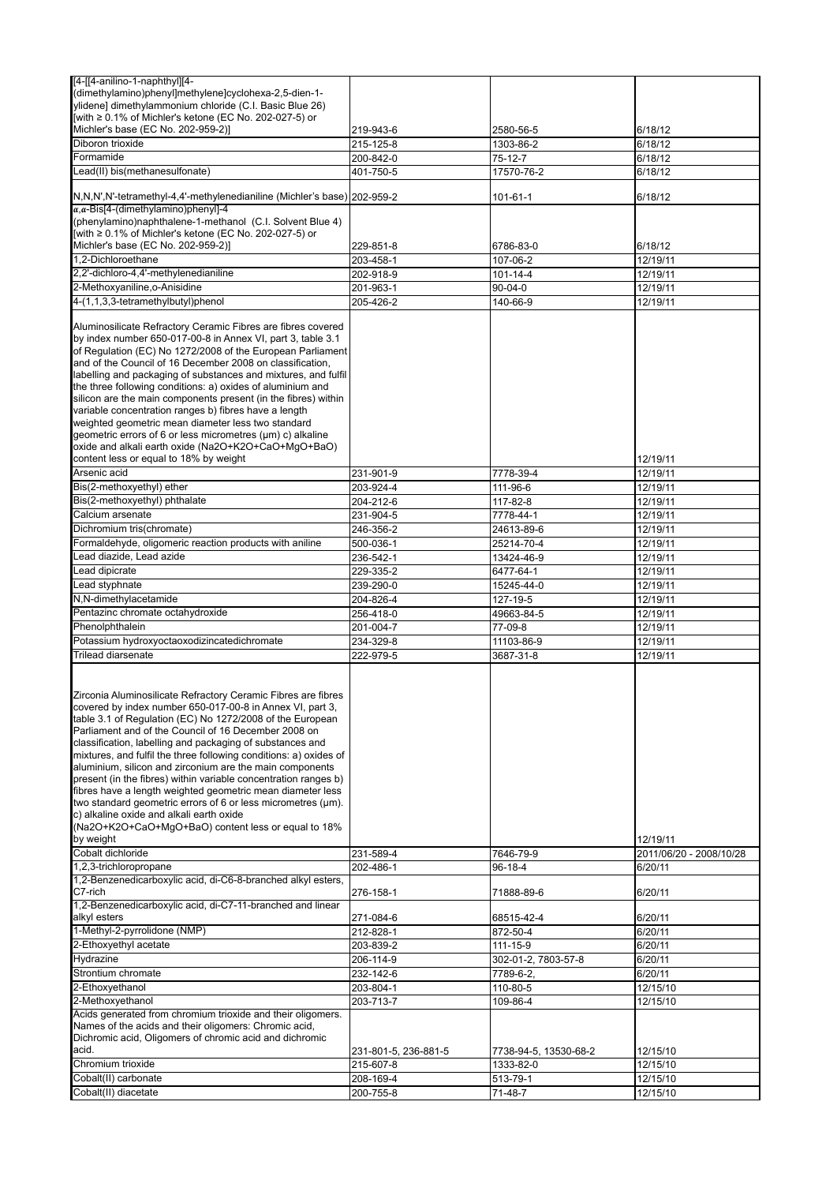| [4-[[4-anilino-1-naphthyl][4-                                            |                        |                       |                         |
|--------------------------------------------------------------------------|------------------------|-----------------------|-------------------------|
| -1-dimethylamino)phenyl]methylene]cyclohexa-2,5-dien)                    |                        |                       |                         |
| ylidene] dimethylammonium chloride (C.I. Basic Blue 26)                  |                        |                       |                         |
| [with ≥ 0.1% of Michler's ketone (EC No. 202-027-5) or                   |                        |                       |                         |
| Michler's base (EC No. 202-959-2)]                                       | 219-943-6              | 2580-56-5             | 6/18/12                 |
| Diboron trioxide                                                         | 215-125-8              | 1303-86-2             | 6/18/12                 |
| Formamide                                                                |                        |                       |                         |
|                                                                          | 200-842-0              | 75-12-7               | 6/18/12                 |
| Lead(II) bis(methanesulfonate)                                           | 401-750-5              | 17570-76-2            | 6/18/12                 |
|                                                                          |                        |                       |                         |
| N,N,N',N'-tetramethyl-4,4'-methylenedianiline (Michler's base) 202-959-2 |                        | 101-61-1              | 6/18/12                 |
| $\alpha, \alpha$ -Bis[4-(dimethylamino)phenyl]-4                         |                        |                       |                         |
| (phenylamino)naphthalene-1-methanol (C.I. Solvent Blue 4)                |                        |                       |                         |
| [with ≥ 0.1% of Michler's ketone (EC No. 202-027-5) or                   |                        |                       |                         |
| Michler's base (EC No. 202-959-2)]                                       | 229-851-8              | 6786-83-0             | 6/18/12                 |
| 1,2-Dichloroethane                                                       | 203-458-1              | 107-06-2              | 12/19/11                |
| 2,2'-dichloro-4,4'-methylenedianiline                                    | 202-918-9              | 101-14-4              | 12/19/11                |
| 2-Methoxyaniline, o-Anisidine                                            |                        |                       |                         |
|                                                                          | 201-963-1              | $90 - 04 - 0$         | 12/19/11                |
| 4-(1,1,3,3-tetramethylbutyl)phenol                                       | 205-426-2              | 140-66-9              | 12/19/11                |
|                                                                          |                        |                       |                         |
| Aluminosilicate Refractory Ceramic Fibres are fibres covered             |                        |                       |                         |
| by index number 650-017-00-8 in Annex VI, part 3, table 3.1              |                        |                       |                         |
| of Regulation (EC) No 1272/2008 of the European Parliament               |                        |                       |                         |
| and of the Council of 16 December 2008 on classification,                |                        |                       |                         |
| labelling and packaging of substances and mixtures, and fulfil           |                        |                       |                         |
| the three following conditions: a) oxides of aluminium and               |                        |                       |                         |
| silicon are the main components present (in the fibres) within           |                        |                       |                         |
| variable concentration ranges b) fibres have a length                    |                        |                       |                         |
| weighted geometric mean diameter less two standard                       |                        |                       |                         |
| geometric errors of 6 or less micrometres (µm) c) alkaline               |                        |                       |                         |
| oxide and alkali earth oxide (Na2O+K2O+CaO+MqO+BaO)                      |                        |                       |                         |
| content less or equal to 18% by weight                                   |                        |                       |                         |
|                                                                          |                        |                       | 12/19/11                |
| Arsenic acid                                                             | 231-901-9              | 7778-39-4             | 12/19/11                |
| Bis(2-methoxyethyl) ether                                                | 203-924-4              | 111-96-6              | 12/19/11                |
| Bis(2-methoxyethyl) phthalate                                            | 204-212-6              | 117-82-8              | 12/19/11                |
| Calcium arsenate                                                         | 231-904-5              | 7778-44-1             | 12/19/11                |
|                                                                          |                        |                       |                         |
| Dichromium tris(chromate)                                                | 246-356-2              | 24613-89-6            | 12/19/11                |
| Formaldehyde, oligomeric reaction products with aniline                  | 500-036-1              | 25214-70-4            | 12/19/11                |
| Lead diazide, Lead azide                                                 | 236-542-1              | 13424-46-9            | 12/19/11                |
| Lead dipicrate                                                           | 229-335-2              | 6477-64-1             | 12/19/11                |
| Lead styphnate                                                           | 239-290-0              | 15245-44-0            | 12/19/11                |
|                                                                          |                        |                       |                         |
| N,N-dimethylacetamide                                                    | 204-826-4              | 127-19-5              | 12/19/11                |
| Pentazinc chromate octahydroxide                                         | 256-418-0              | 49663-84-5            | 12/19/11                |
| Phenolphthalein                                                          | 201-004-7              | 77-09-8               | 12/19/11                |
| Potassium hydroxyoctaoxodizincatedichromate                              | 234-329-8              | 11103-86-9            | 12/19/11                |
| Trilead diarsenate                                                       |                        |                       |                         |
|                                                                          | 222-979-5              | 3687-31-8             | 12/19/11                |
|                                                                          |                        |                       |                         |
|                                                                          |                        |                       |                         |
| Zirconia Aluminosilicate Refractory Ceramic Fibres are fibres            |                        |                       |                         |
| covered by index number 650-017-00-8 in Annex VI, part 3,                |                        |                       |                         |
| table 3.1 of Regulation (EC) No 1272/2008 of the European                |                        |                       |                         |
| Parliament and of the Council of 16 December 2008 on                     |                        |                       |                         |
| classification, labelling and packaging of substances and                |                        |                       |                         |
| mixtures, and fulfil the three following conditions: a) oxides of        |                        |                       |                         |
| aluminium, silicon and zirconium are the main components                 |                        |                       |                         |
| present (in the fibres) within variable concentration ranges b)          |                        |                       |                         |
| fibres have a length weighted geometric mean diameter less               |                        |                       |                         |
| two standard geometric errors of 6 or less micrometres (um).             |                        |                       |                         |
| c) alkaline oxide and alkali earth oxide                                 |                        |                       |                         |
| (Na2O+K2O+CaO+MgO+BaO) content less or equal to 18%                      |                        |                       |                         |
|                                                                          |                        |                       |                         |
| by weight                                                                |                        |                       | 12/19/11                |
| Cobalt dichloride                                                        | 231-589-4              | 7646-79-9             | 2011/06/20 - 2008/10/28 |
| 1,2,3-trichloropropane                                                   | 202-486-1              | 96-18-4               | 6/20/11                 |
| 1,2-Benzenedicarboxylic acid, di-C6-8-branched alkyl esters,             |                        |                       |                         |
| C7-rich                                                                  | 276-158-1              | 71888-89-6            | 6/20/11                 |
| 1,2-Benzenedicarboxylic acid, di-C7-11-branched and linear               |                        |                       |                         |
| alkyl esters                                                             |                        |                       |                         |
|                                                                          | 271-084-6              | 68515-42-4            | 6/20/11                 |
| 1-Methyl-2-pyrrolidone (NMP)                                             | 212-828-1              | 872-50-4              | 6/20/11                 |
| 2-Ethoxyethyl acetate                                                    | 203-839-2              | 111-15-9              | 6/20/11                 |
| Hydrazine                                                                | 206-114-9              | 302-01-2, 7803-57-8   | 6/20/11                 |
| Strontium chromate                                                       | 232-142-6              | 7789-6-2,             | 6/20/11                 |
|                                                                          |                        |                       |                         |
| 2-Ethoxyethanol                                                          | 203-804-1              | 110-80-5              | 12/15/10                |
| 2-Methoxyethanol                                                         |                        | 109-86-4              | 12/15/10                |
| Acids generated from chromium trioxide and their oligomers.              | 203-713-7              |                       |                         |
|                                                                          |                        |                       |                         |
| Names of the acids and their oligomers: Chromic acid,                    |                        |                       |                         |
| Dichromic acid, Oligomers of chromic acid and dichromic                  |                        |                       |                         |
| acid.                                                                    |                        |                       |                         |
|                                                                          | 231-801-5, 236-881-5   | 7738-94-5, 13530-68-2 | 12/15/10                |
| Chromium trioxide                                                        | 215-607-8              | 1333-82-0             | 12/15/10                |
| Cobalt(II) carbonate<br>Cobalt(II) diacetate                             | 208-169-4<br>200-755-8 | 513-79-1<br>71-48-7   | 12/15/10<br>12/15/10    |